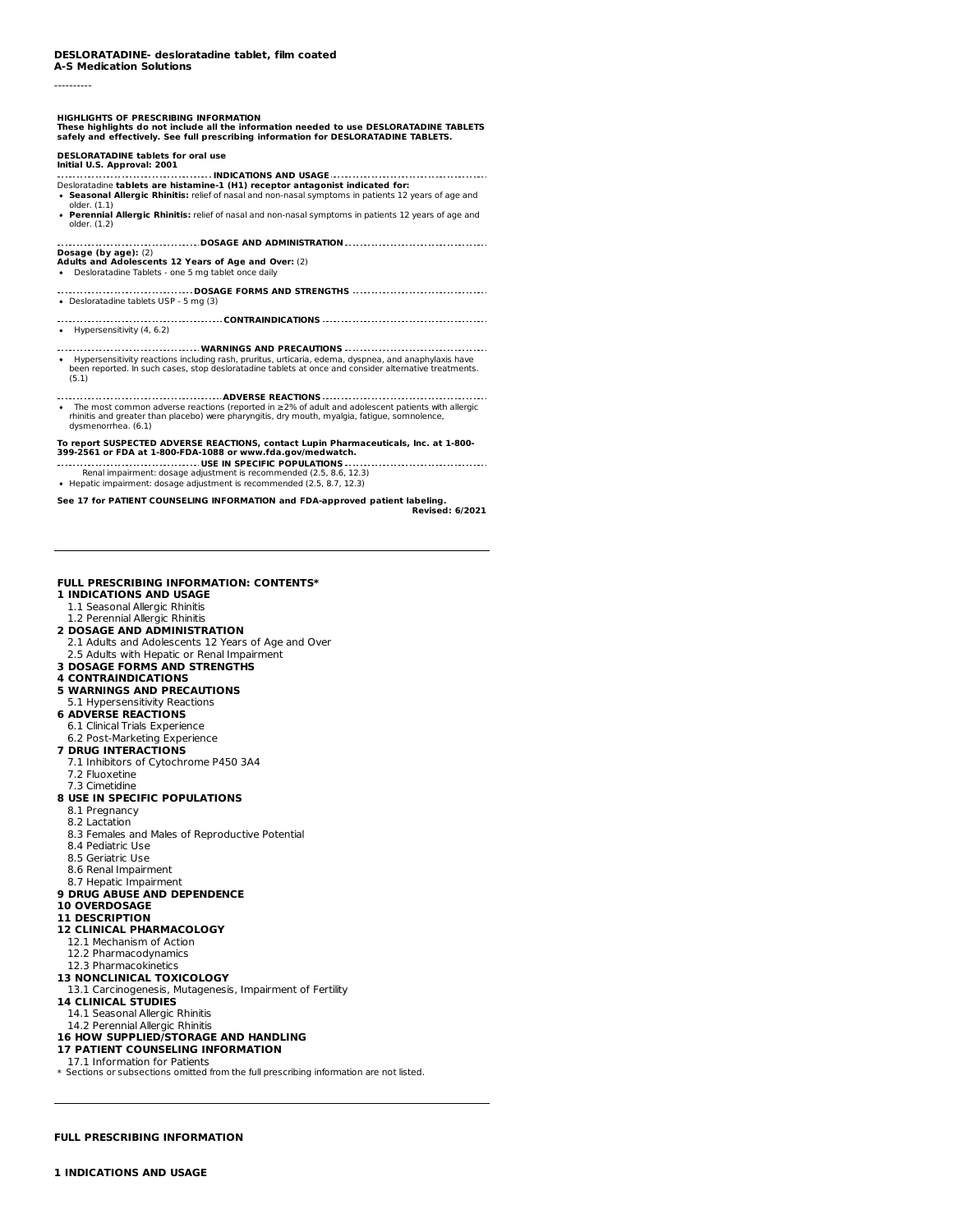----------

# HIGHLIGHTS OF PRESCRIBING INFORMATION<br>These highlights do not include all the information needed to use DESLORATADINE TABLETS<br>safely and effectively. See full prescribing information for DESLORATADINE TABLETS.

#### **DESLORATADINE tablets for oral use Initial U.S. Approval: 2001**

**INDICATIONS AND USAGE** Desloratadine **tablets are histamine-1 (H1) receptor antagonist indicated for:**

- **Seasonal Allergic Rhinitis:** relief of nasal and non-nasal symptoms in patients 12 years of age and
- older. (1.1) **Perennial Allergic Rhinitis:** relief of nasal and non-nasal symptoms in patients 12 years of age and older. (1.2)

**DOSAGE AND ADMINISTRATION**

- **Dosage (by age):** (2) **Adults and Adolescents 12 Years of Age and Over:** (2)
- Desloratadine Tablets one 5 mg tablet once daily
- **DOSAGE FORMS AND STRENGTHS** Desloratadine tablets USP - 5 mg (3)
- **CONTRAINDICATIONS**  $\bullet$  Hypersensitivity (4, 6.2)
- **WARNINGS AND PRECAUTIONS** Hypersensitivity reactions including rash, pruritus, urticaria, edema, dyspnea, and anaphylaxis have been reported. In such cases, stop desloratadine tablets at once and consider alternative treatments. (5.1)
- **ADVERSE REACTIONS** The most common adverse reactions (reported in ≥2% of adult and adolescent patients with allergic rhinitis and greater than placebo) were pharyngitis, dry mouth, myalgia, fatigue, somnolence, dysmenorrhea. (6.1)

# To report SUSPECTED ADVERSE REACTIONS, contact Lupin Pharmaceuticals, Inc. at 1-800-<br>399-2561 or FDA at 1-800-FDA-1088 or www.fda.gov/medwatch.

- **USE IN SPECIFIC POPULATIONS** Renal impairment: dosage adjustment is recommended (2.5, 8.6, 12.3)
- Hepatic impairment: dosage adjustment is recommended (2.5, 8.7, 12.3)

**See 17 for PATIENT COUNSELING INFORMATION and FDA-approved patient labeling. Revised: 6/2021**

# **FULL PRESCRIBING INFORMATION: CONTENTS\***

- **1 INDICATIONS AND USAGE**
- 1.1 Seasonal Allergic Rhinitis
- 1.2 Perennial Allergic Rhinitis
- **2 DOSAGE AND ADMINISTRATION**
- 2.1 Adults and Adolescents 12 Years of Age and Over 2.5 Adults with Hepatic or Renal Impairment
- **3 DOSAGE FORMS AND STRENGTHS**
- **4 CONTRAINDICATIONS**
- **5 WARNINGS AND PRECAUTIONS**
- 5.1 Hypersensitivity Reactions
- **6 ADVERSE REACTIONS**
- 6.1 Clinical Trials Experience
- 6.2 Post-Marketing Experience

# **7 DRUG INTERACTIONS**

- 7.1 Inhibitors of Cytochrome P450 3A4
- 7.2 Fluoxetine
- 7.3 Cimetidine
- **8 USE IN SPECIFIC POPULATIONS**
- 8.1 Pregnancy
- 8.2 Lactation
- 8.3 Females and Males of Reproductive Potential
- 8.4 Pediatric Use
- 8.5 Geriatric Use
- 8.6 Renal Impairment
- 8.7 Hepatic Impairment
- **9 DRUG ABUSE AND DEPENDENCE**
- **10 OVERDOSAGE**
- **11 DESCRIPTION**
- **12 CLINICAL PHARMACOLOGY**
- 12.1 Mechanism of Action
- 12.2 Pharmacodynamics
- 12.3 Pharmacokinetics
- **13 NONCLINICAL TOXICOLOGY**
- 13.1 Carcinogenesis, Mutagenesis, Impairment of Fertility
- **14 CLINICAL STUDIES**
- 14.1 Seasonal Allergic Rhinitis
- 14.2 Perennial Allergic Rhinitis
- **16 HOW SUPPLIED/STORAGE AND HANDLING**
- **17 PATIENT COUNSELING INFORMATION**
- 17.1 Information for Patients
- \* Sections or subsections omitted from the full prescribing information are not listed.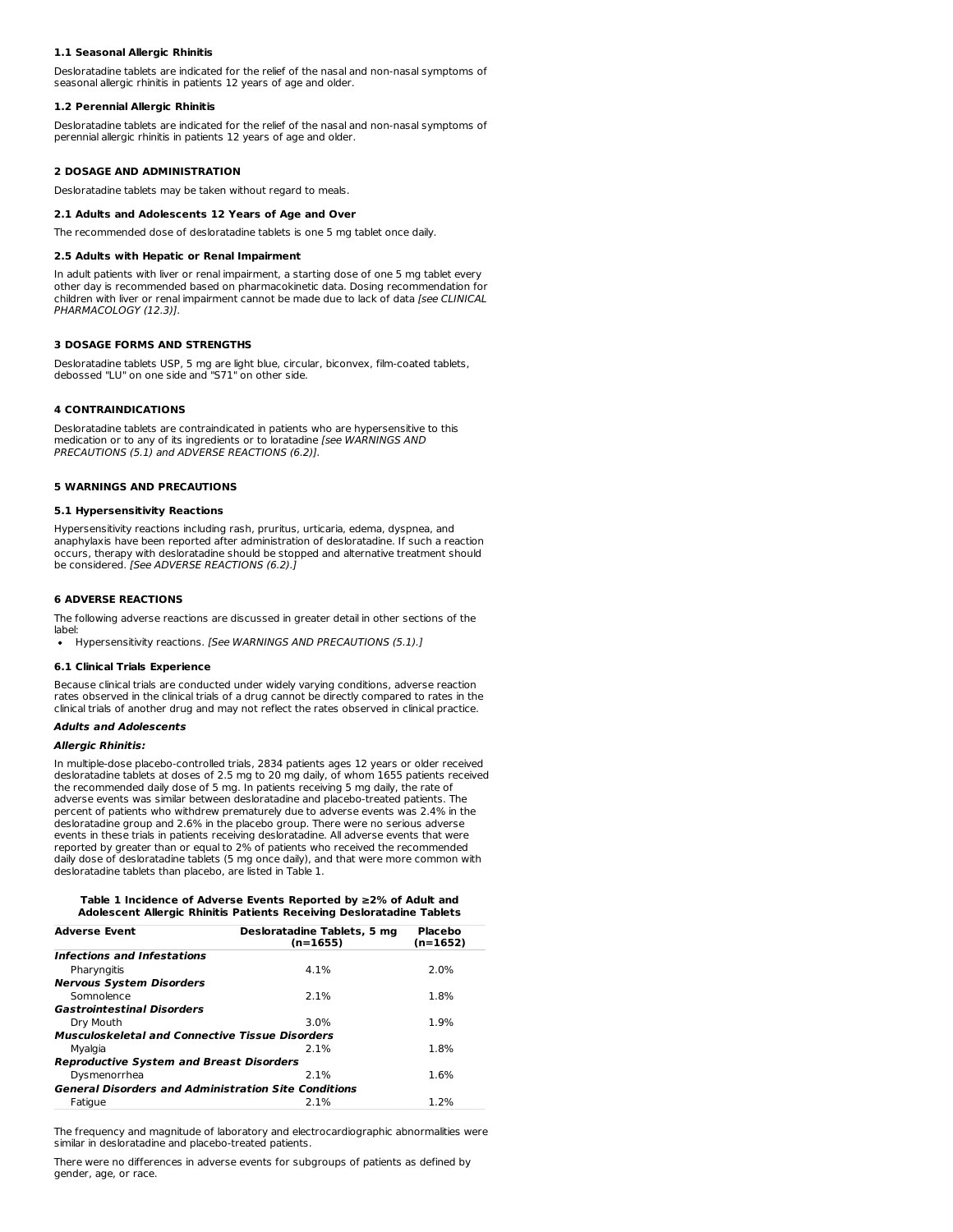#### **1.1 Seasonal Allergic Rhinitis**

Desloratadine tablets are indicated for the relief of the nasal and non-nasal symptoms of seasonal allergic rhinitis in patients 12 years of age and older.

#### **1.2 Perennial Allergic Rhinitis**

Desloratadine tablets are indicated for the relief of the nasal and non-nasal symptoms of perennial allergic rhinitis in patients 12 years of age and older.

## **2 DOSAGE AND ADMINISTRATION**

Desloratadine tablets may be taken without regard to meals.

# **2.1 Adults and Adolescents 12 Years of Age and Over**

The recommended dose of desloratadine tablets is one 5 mg tablet once daily.

#### **2.5 Adults with Hepatic or Renal Impairment**

In adult patients with liver or renal impairment, a starting dose of one 5 mg tablet every other day is recommended based on pharmacokinetic data. Dosing recommendation for children with liver or renal impairment cannot be made due to lack of data [see CLINICAL PHARMACOLOGY (12.3)].

### **3 DOSAGE FORMS AND STRENGTHS**

Desloratadine tablets USP, 5 mg are light blue, circular, biconvex, film-coated tablets, debossed "LU" on one side and "S71" on other side.

#### **4 CONTRAINDICATIONS**

Desloratadine tablets are contraindicated in patients who are hypersensitive to this medication or to any of its ingredients or to loratadine [see WARNINGS AND PRECAUTIONS (5.1) and ADVERSE REACTIONS (6.2)].

#### **5 WARNINGS AND PRECAUTIONS**

## **5.1 Hypersensitivity Reactions**

Hypersensitivity reactions including rash, pruritus, urticaria, edema, dyspnea, and anaphylaxis have been reported after administration of desloratadine. If such a reaction occurs, therapy with desloratadine should be stopped and alternative treatment should be considered. [See ADVERSE REACTIONS (6.2).]

#### **6 ADVERSE REACTIONS**

The following adverse reactions are discussed in greater detail in other sections of the

label:<br>• Hypersensitivity reactions. [See WARNINGS AND PRECAUTIONS (5.1).]

#### **6.1 Clinical Trials Experience**

Because clinical trials are conducted under widely varying conditions, adverse reaction rates observed in the clinical trials of a drug cannot be directly compared to rates in the clinical trials of another drug and may not reflect the rates observed in clinical practice.

#### **Adults and Adolescents**

#### **Allergic Rhinitis:**

In multiple-dose placebo-controlled trials, 2834 patients ages 12 years or older received desloratadine tablets at doses of 2.5 mg to 20 mg daily, of whom 1655 patients received the recommended daily dose of 5 mg. In patients receiving 5 mg daily, the rate of adverse events was similar between desloratadine and placebo-treated patients. The percent of patients who withdrew prematurely due to adverse events was 2.4% in the desloratadine group and 2.6% in the placebo group. There were no serious adverse events in these trials in patients receiving desloratadine. All adverse events that were reported by greater than or equal to 2% of patients who received the recommended daily dose of desloratadine tablets (5 mg once daily), and that were more common with desloratadine tablets than placebo, are listed in Table 1.

#### **Table 1 Incidence of Adverse Events Reported by ≥2% of Adult and Adolescent Allergic Rhinitis Patients Receiving Desloratadine Tablets**

| <b>Adverse Event</b>                                        | Desloratadine Tablets, 5 mg<br>$(n=1655)$ | Placebo<br>(n=1652) |
|-------------------------------------------------------------|-------------------------------------------|---------------------|
| <b>Infections and Infestations</b>                          |                                           |                     |
| Pharyngitis                                                 | 4.1%                                      | 2.0%                |
| <b>Nervous System Disorders</b>                             |                                           |                     |
| Somnolence                                                  | 2.1%                                      | 1.8%                |
| <b>Gastrointestinal Disorders</b>                           |                                           |                     |
| Dry Mouth                                                   | 3.0%                                      | 1.9%                |
| <b>Musculoskeletal and Connective Tissue Disorders</b>      |                                           |                     |
| Myalgia                                                     | 2.1%                                      | 1.8%                |
| <b>Reproductive System and Breast Disorders</b>             |                                           |                     |
| Dysmenorrhea                                                | 2.1%                                      | 1.6%                |
| <b>General Disorders and Administration Site Conditions</b> |                                           |                     |
| Fatigue                                                     | 2.1%                                      | 1.2%                |

The frequency and magnitude of laboratory and electrocardiographic abnormalities were similar in desloratadine and placebo-treated patients.

There were no differences in adverse events for subgroups of patients as defined by gender, age, or race.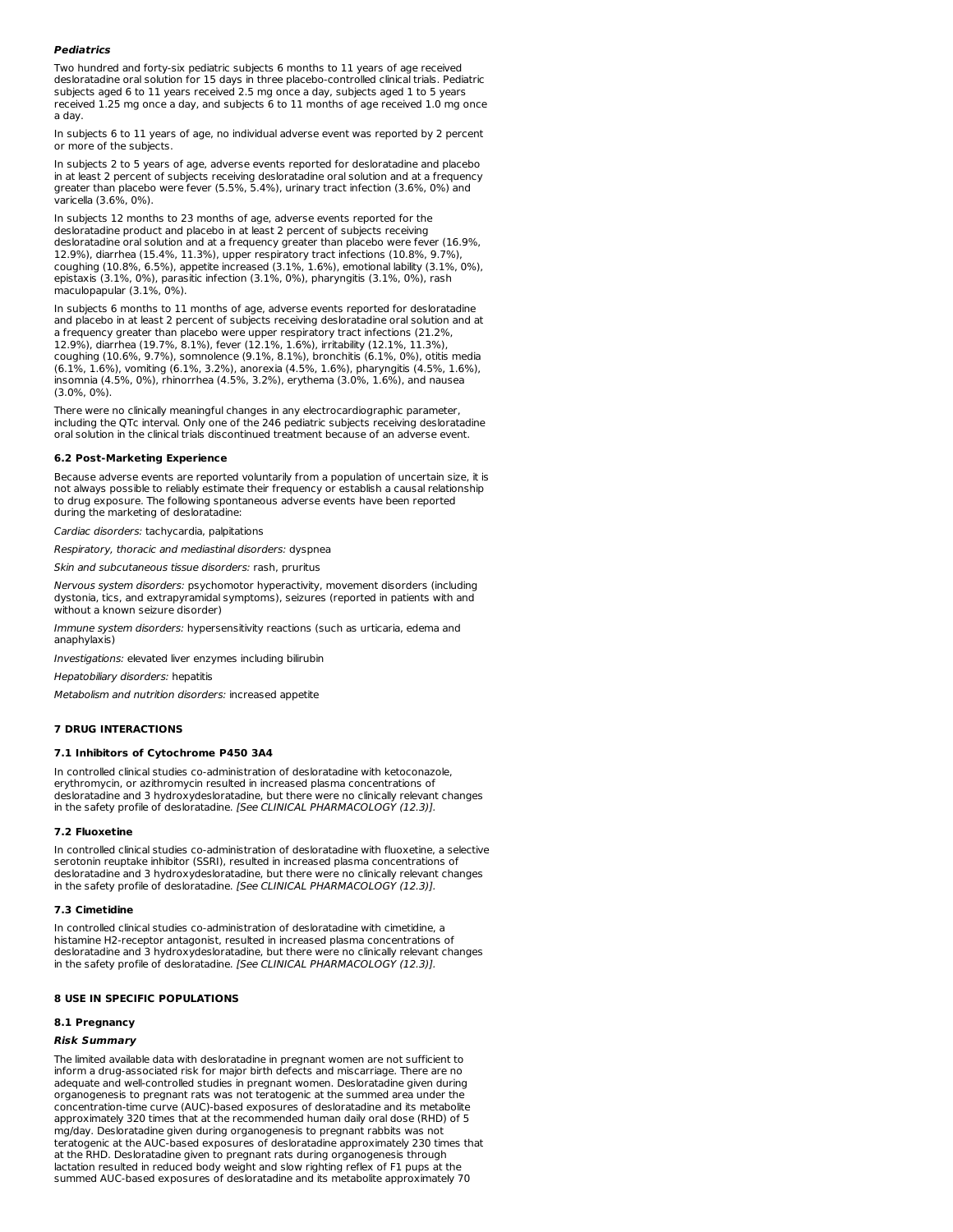# **Pediatrics**

Two hundred and forty-six pediatric subjects 6 months to 11 years of age received desloratadine oral solution for 15 days in three placebo-controlled clinical trials. Pediatric subjects aged 6 to 11 years received 2.5 mg once a day, subjects aged 1 to 5 years received 1.25 mg once a day, and subjects 6 to 11 months of age received 1.0 mg once a day.

In subjects 6 to 11 years of age, no individual adverse event was reported by 2 percent or more of the subjects.

In subjects 2 to 5 years of age, adverse events reported for desloratadine and placebo in at least 2 percent of subjects receiving desloratadine oral solution and at a frequency greater than placebo were fever (5.5%, 5.4%), urinary tract infection (3.6%, 0%) and varicella (3.6%, 0%).

In subjects 12 months to 23 months of age, adverse events reported for the desloratadine product and placebo in at least 2 percent of subjects receiving desloratadine oral solution and at a frequency greater than placebo were fever (16.9%, 12.9%), diarrhea (15.4%, 11.3%), upper respiratory tract infections (10.8%, 9.7%), coughing (10.8%, 6.5%), appetite increased (3.1%, 1.6%), emotional lability (3.1%, 0%), epistaxis (3.1%, 0%), parasitic infection (3.1%, 0%), pharyngitis (3.1%, 0%), rash maculopapular (3.1%, 0%).

In subjects 6 months to 11 months of age, adverse events reported for desloratadine and placebo in at least 2 percent of subjects receiving desloratadine oral solution and at a frequency greater than placebo were upper respiratory tract infections (21.2%, 12.9%), diarrhea (19.7%, 8.1%), fever (12.1%, 1.6%), irritability (12.1%, 11.3%), coughing (10.6%, 9.7%), somnolence (9.1%, 8.1%), bronchitis (6.1%, 0%), otitis media (6.1%, 1.6%), vomiting (6.1%, 3.2%), anorexia (4.5%, 1.6%), pharyngitis (4.5%, 1.6%), insomnia (4.5%, 0%), rhinorrhea (4.5%, 3.2%), erythema (3.0%, 1.6%), and nausea (3.0%, 0%).

There were no clinically meaningful changes in any electrocardiographic parameter, including the QTc interval. Only one of the 246 pediatric subjects receiving desloratadine oral solution in the clinical trials discontinued treatment because of an adverse event.

#### **6.2 Post-Marketing Experience**

Because adverse events are reported voluntarily from a population of uncertain size, it is not always possible to reliably estimate their frequency or establish a causal relationship to drug exposure. The following spontaneous adverse events have been reported during the marketing of desloratadine:

Cardiac disorders: tachycardia, palpitations

Respiratory, thoracic and mediastinal disorders: dyspnea

Skin and subcutaneous tissue disorders: rash, pruritus

Nervous system disorders: psychomotor hyperactivity, movement disorders (including dystonia, tics, and extrapyramidal symptoms), seizures (reported in patients with and without a known seizure disorder)

Immune system disorders: hypersensitivity reactions (such as urticaria, edema and anaphylaxis)

Investigations: elevated liver enzymes including bilirubin

Hepatobiliary disorders: hepatitis

Metabolism and nutrition disorders: increased appetite

#### **7 DRUG INTERACTIONS**

#### **7.1 Inhibitors of Cytochrome P450 3A4**

In controlled clinical studies co-administration of desloratadine with ketoconazole, erythromycin, or azithromycin resulted in increased plasma concentrations of desloratadine and 3 hydroxydesloratadine, but there were no clinically relevant changes in the safety profile of desloratadine. [See CLINICAL PHARMACOLOGY (12.3)].

#### **7.2 Fluoxetine**

In controlled clinical studies co-administration of desloratadine with fluoxetine, a selective serotonin reuptake inhibitor (SSRI), resulted in increased plasma concentrations of desloratadine and 3 hydroxydesloratadine, but there were no clinically relevant changes in the safety profile of desloratadine. [See CLINICAL PHARMACOLOGY (12.3)].

#### **7.3 Cimetidine**

In controlled clinical studies co-administration of desloratadine with cimetidine, a histamine H2-receptor antagonist, resulted in increased plasma concentrations of desloratadine and 3 hydroxydesloratadine, but there were no clinically relevant changes in the safety profile of desloratadine. [See CLINICAL PHARMACOLOGY (12.3)].

# **8 USE IN SPECIFIC POPULATIONS**

#### **8.1 Pregnancy**

## **Risk Summary**

The limited available data with desloratadine in pregnant women are not sufficient to inform a drug-associated risk for major birth defects and miscarriage. There are no adequate and well-controlled studies in pregnant women. Desloratadine given during organogenesis to pregnant rats was not teratogenic at the summed area under the concentration-time curve (AUC)-based exposures of desloratadine and its metabolite approximately 320 times that at the recommended human daily oral dose (RHD) of 5 mg/day. Desloratadine given during organogenesis to pregnant rabbits was not teratogenic at the AUC-based exposures of desloratadine approximately 230 times that at the RHD. Desloratadine given to pregnant rats during organogenesis through lactation resulted in reduced body weight and slow righting reflex of F1 pups at the summed AUC-based exposures of desloratadine and its metabolite approximately 70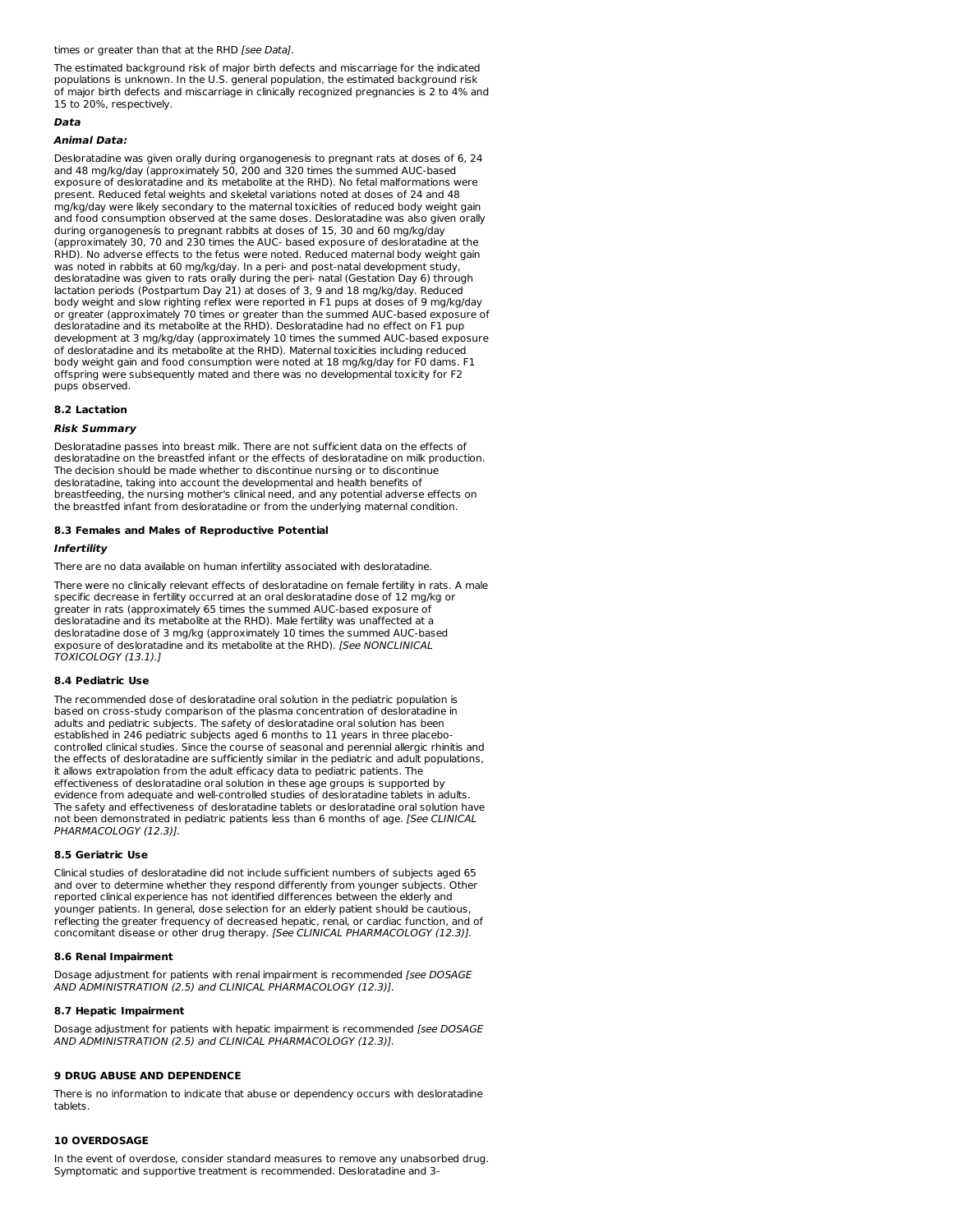times or greater than that at the RHD [see Data].

The estimated background risk of major birth defects and miscarriage for the indicated populations is unknown. In the U.S. general population, the estimated background risk of major birth defects and miscarriage in clinically recognized pregnancies is 2 to 4% and 15 to 20%, respectively.

#### **Data**

#### **Animal Data:**

Desloratadine was given orally during organogenesis to pregnant rats at doses of 6, 24 and 48 mg/kg/day (approximately 50, 200 and 320 times the summed AUC-based exposure of desloratadine and its metabolite at the RHD). No fetal malformations were present. Reduced fetal weights and skeletal variations noted at doses of 24 and 48 mg/kg/day were likely secondary to the maternal toxicities of reduced body weight gain and food consumption observed at the same doses. Desloratadine was also given orally during organogenesis to pregnant rabbits at doses of 15, 30 and 60 mg/kg/day (approximately 30, 70 and 230 times the AUC- based exposure of desloratadine at the RHD). No adverse effects to the fetus were noted. Reduced maternal body weight gain was noted in rabbits at 60 mg/kg/day. In a peri- and post-natal development study, desloratadine was given to rats orally during the peri- natal (Gestation Day 6) through lactation periods (Postpartum Day 21) at doses of 3, 9 and 18 mg/kg/day. Reduced body weight and slow righting reflex were reported in F1 pups at doses of 9 mg/kg/day or greater (approximately 70 times or greater than the summed AUC-based exposure of desloratadine and its metabolite at the RHD). Desloratadine had no effect on F1 pup development at 3 mg/kg/day (approximately 10 times the summed AUC-based exposure of desloratadine and its metabolite at the RHD). Maternal toxicities including reduced body weight gain and food consumption were noted at 18 mg/kg/day for F0 dams. F1 offspring were subsequently mated and there was no developmental toxicity for F2 pups observed.

# **8.2 Lactation**

#### **Risk Summary**

Desloratadine passes into breast milk. There are not sufficient data on the effects of desloratadine on the breastfed infant or the effects of desloratadine on milk production. The decision should be made whether to discontinue nursing or to discontinue desloratadine, taking into account the developmental and health benefits of breastfeeding, the nursing mother's clinical need, and any potential adverse effects on the breastfed infant from desloratadine or from the underlying maternal condition.

#### **8.3 Females and Males of Reproductive Potential**

#### **Infertility**

There are no data available on human infertility associated with desloratadine.

There were no clinically relevant effects of desloratadine on female fertility in rats. A male specific decrease in fertility occurred at an oral desloratadine dose of 12 mg/kg or greater in rats (approximately 65 times the summed AUC-based exposure of desloratadine and its metabolite at the RHD). Male fertility was unaffected at a desloratadine dose of 3 mg/kg (approximately 10 times the summed AUC-based exposure of desloratadine and its metabolite at the RHD). [See NONCLINICAL TOXICOLOGY (13.1).]

#### **8.4 Pediatric Use**

The recommended dose of desloratadine oral solution in the pediatric population is based on cross-study comparison of the plasma concentration of desloratadine in adults and pediatric subjects. The safety of desloratadine oral solution has been established in 246 pediatric subjects aged 6 months to 11 years in three placebocontrolled clinical studies. Since the course of seasonal and perennial allergic rhinitis and the effects of desloratadine are sufficiently similar in the pediatric and adult populations, it allows extrapolation from the adult efficacy data to pediatric patients. The effectiveness of desloratadine oral solution in these age groups is supported by evidence from adequate and well-controlled studies of desloratadine tablets in adults. The safety and effectiveness of desloratadine tablets or desloratadine oral solution have not been demonstrated in pediatric patients less than 6 months of age. [See CLINICAL PHARMACOLOGY (12.3)].

#### **8.5 Geriatric Use**

Clinical studies of desloratadine did not include sufficient numbers of subjects aged 65 and over to determine whether they respond differently from younger subjects. Other reported clinical experience has not identified differences between the elderly and younger patients. In general, dose selection for an elderly patient should be cautious, reflecting the greater frequency of decreased hepatic, renal, or cardiac function, and of<br>concomitant disease or other drug therapy. *[See CLINICAL PHARMACOLOGY (12.3)].* 

#### **8.6 Renal Impairment**

Dosage adjustment for patients with renal impairment is recommended [see DOSAGE AND ADMINISTRATION (2.5) and CLINICAL PHARMACOLOGY (12.3)].

#### **8.7 Hepatic Impairment**

Dosage adjustment for patients with hepatic impairment is recommended [see DOSAGE AND ADMINISTRATION (2.5) and CLINICAL PHARMACOLOGY (12.3)].

### **9 DRUG ABUSE AND DEPENDENCE**

There is no information to indicate that abuse or dependency occurs with desloratadine tablets.

#### **10 OVERDOSAGE**

In the event of overdose, consider standard measures to remove any unabsorbed drug. Symptomatic and supportive treatment is recommended. Desloratadine and 3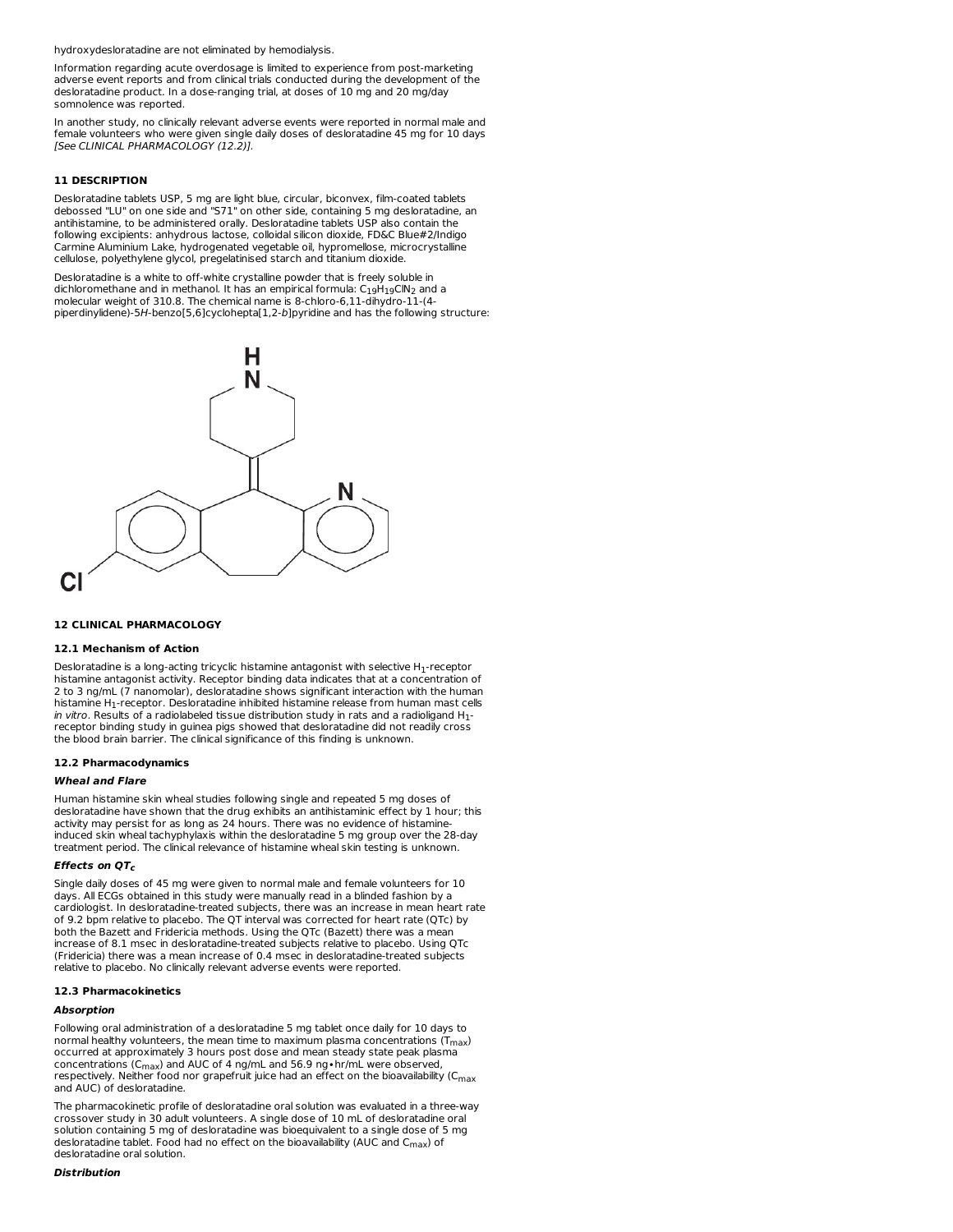hydroxydesloratadine are not eliminated by hemodialysis.

Information regarding acute overdosage is limited to experience from post-marketing adverse event reports and from clinical trials conducted during the development of the desloratadine product. In a dose-ranging trial, at doses of 10 mg and 20 mg/day somnolence was reported.

In another study, no clinically relevant adverse events were reported in normal male and female volunteers who were given single daily doses of desloratadine 45 mg for 10 days [See CLINICAL PHARMACOLOGY (12.2)].

# **11 DESCRIPTION**

Desloratadine tablets USP, 5 mg are light blue, circular, biconvex, film-coated tablets debossed "LU" on one side and "S71" on other side, containing 5 mg desloratadine, an antihistamine, to be administered orally. Desloratadine tablets USP also contain the following excipients: anhydrous lactose, colloidal silicon dioxide, FD&C Blue#2/Indigo Carmine Aluminium Lake, hydrogenated vegetable oil, hypromellose, microcrystalline cellulose, polyethylene glycol, pregelatinised starch and titanium dioxide.

Desloratadine is a white to off-white crystalline powder that is freely soluble in dichloromethane and in methanol. It has an empirical formula: C<sub>19</sub>H<sub>19</sub>ClN<sub>2</sub> and a<br>molecular weight of 310.8. The chemical name is 8-chloro-6,11-dihydro-11-(4piperdinylidene)-5H-benzo[5,6]cyclohepta[1,2-b]pyridine and has the following structure:



#### **12 CLINICAL PHARMACOLOGY**

#### **12.1 Mechanism of Action**

Desloratadine is a long-acting tricyclic histamine antagonist with selective  $H_1$ -receptor histamine antagonist activity. Receptor binding data indicates that at a concentration of 2 to 3 ng/mL (7 nanomolar), desloratadine shows significant interaction with the human histamine H1-receptor. Desloratadine inhibited histamine release from human mast cells *in vitro.* Results of a radiolabeled tissue distribution study in rats and a radioligand  $H_{\rm 1^-}$ receptor binding study in guinea pigs showed that desloratadine did not readily cross the blood brain barrier. The clinical significance of this finding is unknown.

#### **12.2 Pharmacodynamics**

#### **Wheal and Flare**

Human histamine skin wheal studies following single and repeated 5 mg doses of desloratadine have shown that the drug exhibits an antihistaminic effect by 1 hour; this activity may persist for as long as 24 hours. There was no evidence of histamineinduced skin wheal tachyphylaxis within the desloratadine 5 mg group over the 28-day treatment period. The clinical relevance of histamine wheal skin testing is unknown.

#### **Effects on QT c**

Single daily doses of 45 mg were given to normal male and female volunteers for 10 days. All ECGs obtained in this study were manually read in a blinded fashion by a cardiologist. In desloratadine-treated subjects, there was an increase in mean heart rate of 9.2 bpm relative to placebo. The QT interval was corrected for heart rate (QTc) by both the Bazett and Fridericia methods. Using the QTc (Bazett) there was a mean increase of 8.1 msec in desloratadine-treated subjects relative to placebo. Using QTc (Fridericia) there was a mean increase of 0.4 msec in desloratadine-treated subjects relative to placebo. No clinically relevant adverse events were reported.

# **12.3 Pharmacokinetics**

#### **Absorption**

Following oral administration of a desloratadine 5 mg tablet once daily for 10 days to normal healthy volunteers, the mean time to maximum plasma concentrations ( $T_{max}$ ) occurred at approximately 3 hours post dose and mean steady state peak plasma concentrations (C<sub>max</sub>) and AUC of 4 ng/mL and 56.9 ng•hr/mL were observed, respectively. Neither food nor grapefruit juice had an effect on the bioavailability (C<sub>max</sub> and AUC) of desloratadine.

The pharmacokinetic profile of desloratadine oral solution was evaluated in a three-way crossover study in 30 adult volunteers. A single dose of 10 mL of desloratadine oral solution containing 5 mg of desloratadine was bioequivalent to a single dose of 5 mg desloratadine tablet. Food had no effect on the bioavailability (AUC and  $C_{\rm max}$ ) of desloratadine oral solution.

#### **Distribution**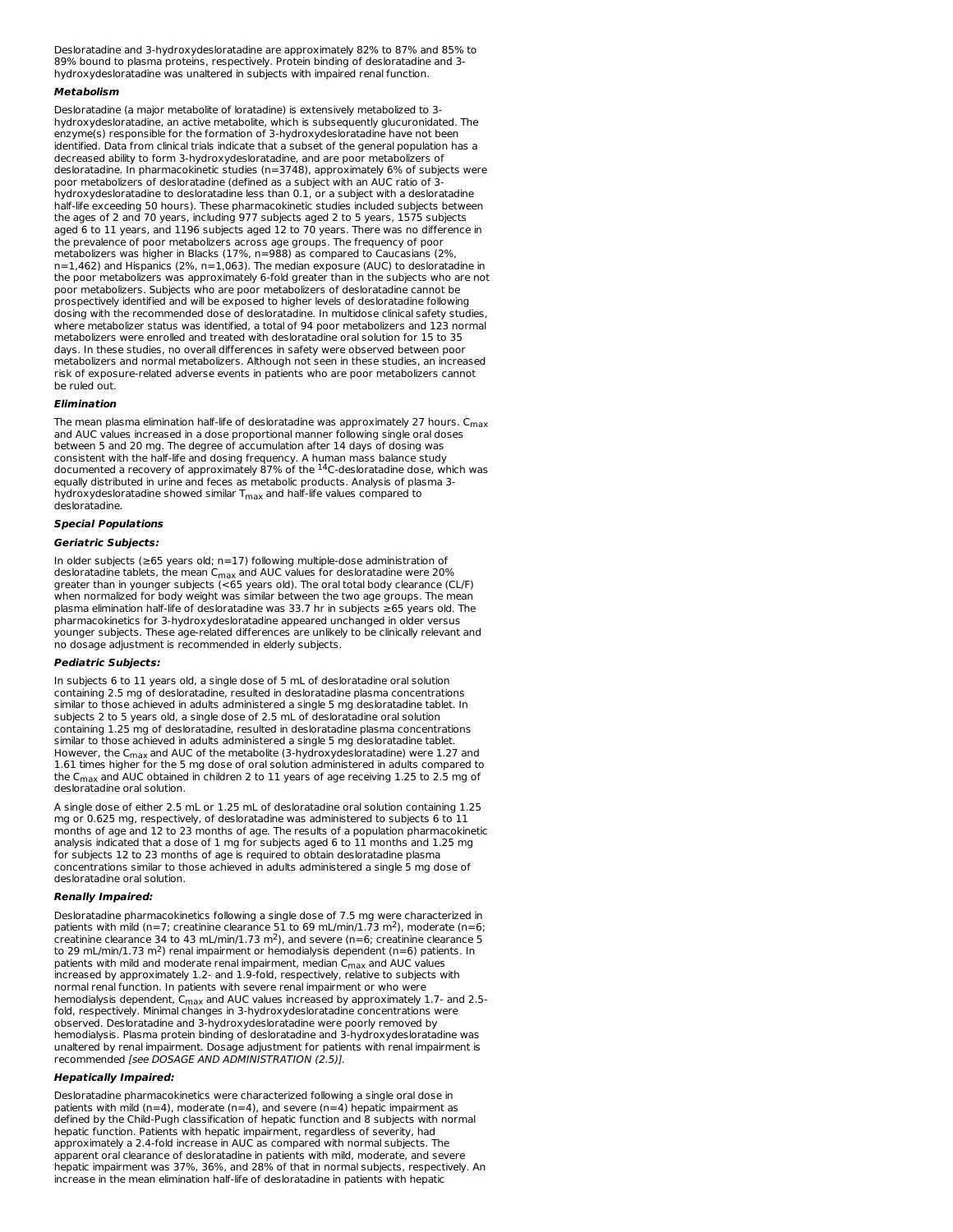Desloratadine and 3-hydroxydesloratadine are approximately 82% to 87% and 85% to 89% bound to plasma proteins, respectively. Protein binding of desloratadine and 3 hydroxydesloratadine was unaltered in subjects with impaired renal function.

#### **Metabolism**

Desloratadine (a major metabolite of loratadine) is extensively metabolized to 3 hydroxydesloratadine, an active metabolite, which is subsequently glucuronidated. The enzyme(s) responsible for the formation of 3-hydroxydesloratadine have not been identified. Data from clinical trials indicate that a subset of the general population has a decreased ability to form 3-hydroxydesloratadine, and are poor metabolizers of desloratadine. In pharmacokinetic studies (n=3748), approximately 6% of subjects were poor metabolizers of desloratadine (defined as a subject with an AUC ratio of 3 hydroxydesloratadine to desloratadine less than 0.1, or a subject with a desloratadine half-life exceeding 50 hours). These pharmacokinetic studies included subjects between the ages of 2 and 70 years, including 977 subjects aged 2 to 5 years, 1575 subjects aged 6 to 11 years, and 1196 subjects aged 12 to 70 years. There was no difference in the prevalence of poor metabolizers across age groups. The frequency of poor metabolizers was higher in Blacks (17%, n=988) as compared to Caucasians (2%, n=1,462) and Hispanics (2%, n=1,063). The median exposure (AUC) to desloratadine in the poor metabolizers was approximately 6-fold greater than in the subjects who are not poor metabolizers. Subjects who are poor metabolizers of desloratadine cannot be prospectively identified and will be exposed to higher levels of desloratadine following dosing with the recommended dose of desloratadine. In multidose clinical safety studies, where metabolizer status was identified, a total of 94 poor metabolizers and 123 normal metabolizers were enrolled and treated with desloratadine oral solution for 15 to 35 days. In these studies, no overall differences in safety were observed between poor metabolizers and normal metabolizers. Although not seen in these studies, an increased risk of exposure-related adverse events in patients who are poor metabolizers cannot be ruled out.

#### **Elimination**

The mean plasma elimination half-life of desloratadine was approximately 27 hours. C max and AUC values increased in a dose proportional manner following single oral doses between 5 and 20 mg. The degree of accumulation after 14 days of dosing was consistent with the half-life and dosing frequency. A human mass balance study<br>documented a recovery of approximately 87% of the <sup>14</sup>C-desloratadine dose, which was equally distributed in urine and feces as metabolic products. Analysis of plasma 3 hydroxydesloratadine showed similar  $\mathsf{T}_{\mathsf{max}}$  and half-life values compared to desloratadine.

#### **Special Populations**

#### **Geriatric Subjects:**

In older subjects (≥65 years old; n=17) following multiple-dose administration of desloratadine tablets, the mean C<sub>max</sub> and AUC values for desloratadine were 20%<br>greater than in younger subjects (<65 years old). The oral total body clearance (CL/F)<br>when normalized for body weight was similar between th plasma elimination half-life of desloratadine was 33.7 hr in subjects ≥65 years old. The pharmacokinetics for 3-hydroxydesloratadine appeared unchanged in older versus younger subjects. These age-related differences are unlikely to be clinically relevant and no dosage adjustment is recommended in elderly subjects. max

#### **Pediatric Subjects:**

In subjects 6 to 11 years old, a single dose of 5 mL of desloratadine oral solution containing 2.5 mg of desloratadine, resulted in desloratadine plasma concentrations similar to those achieved in adults administered a single 5 mg desloratadine tablet. In subjects 2 to 5 years old, a single dose of 2.5 mL of desloratadine oral solution containing 1.25 mg of desloratadine, resulted in desloratadine plasma concentrations similar to those achieved in adults administered a single 5 mg desloratadine tablet. However, the C<sub>max</sub> and AUC of the metabolite (3-hydroxydesloratadine) were 1.27 and 1.61 times higher for the 5 mg dose of oral solution administered in adults compared to the C $_{\sf max}$  and AUC obtained in children 2 to 11 years of age receiving 1.25 to 2.5 mg of desloratadine oral solution.

A single dose of either 2.5 mL or 1.25 mL of desloratadine oral solution containing 1.25 mg or 0.625 mg, respectively, of desloratadine was administered to subjects 6 to 11 months of age and 12 to 23 months of age. The results of a population pharmacokinetic analysis indicated that a dose of 1 mg for subjects aged 6 to 11 months and 1.25 mg for subjects 12 to 23 months of age is required to obtain desloratadine plasma concentrations similar to those achieved in adults administered a single 5 mg dose of desloratadine oral solution.

#### **Renally Impaired:**

Desloratadine pharmacokinetics following a single dose of 7.5 mg were characterized in patients with mild ( $n=7$ ; creatinine clearance 51 to 69 mL/min/1.73 m<sup>2</sup>), moderate ( $n=6$ ; creatinine clearance 34 to 43 mL/min/1.73 m<sup>2</sup>), and severe (n=6; creatinine clearance 5 to 29 mL/min/1.73 m<sup>2</sup>) renal impairment or hemodialysis dependent (n=6) patients. In patients with mild and moderate renal impairment, median C<sub>max</sub> and AUC values<br>increased by approximately 1.2- and 1.9-fold, respectively, relative to subjects with normal renal function. In patients with severe renal impairment or who were hemodialysis dependent, C $_{\sf max}$  and AUC values increased by approximately 1.7- and 2.5fold, respectively. Minimal changes in 3-hydroxydesloratadine concentrations were observed. Desloratadine and 3-hydroxydesloratadine were poorly removed by hemodialysis. Plasma protein binding of desloratadine and 3-hydroxydesloratadine was unaltered by renal impairment. Dosage adjustment for patients with renal impairment is recommended [see DOSAGE AND ADMINISTRATION (2.5)].

#### **Hepatically Impaired:**

Desloratadine pharmacokinetics were characterized following a single oral dose in patients with mild (n=4), moderate (n=4), and severe (n=4) hepatic impairment as defined by the Child-Pugh classification of hepatic function and 8 subjects with normal hepatic function. Patients with hepatic impairment, regardless of severity, had approximately a 2.4-fold increase in AUC as compared with normal subjects. The apparent oral clearance of desloratadine in patients with mild, moderate, and severe hepatic impairment was 37%, 36%, and 28% of that in normal subjects, respectively. An increase in the mean elimination half-life of desloratadine in patients with hepatic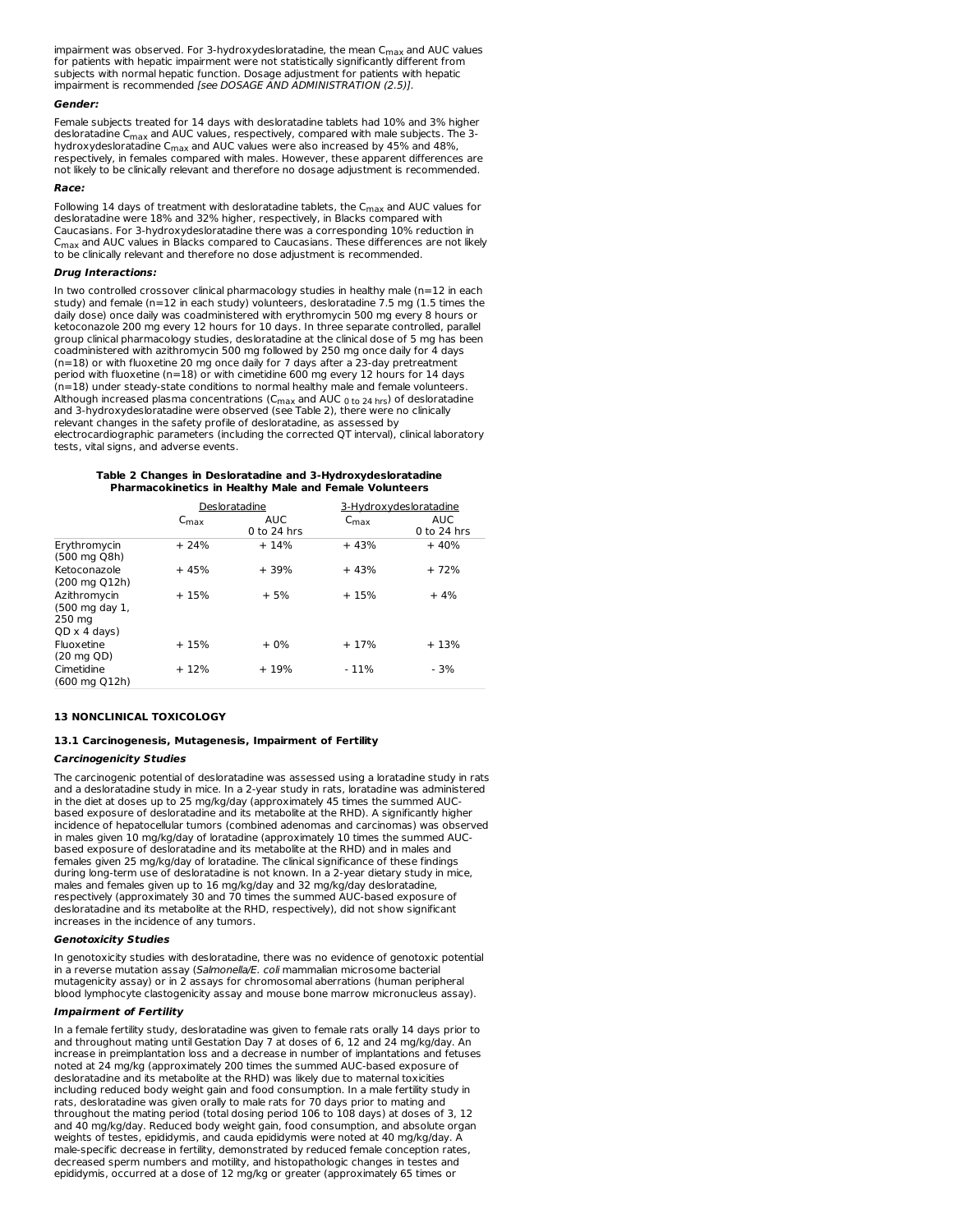impairment was observed. For 3-hydroxydesloratadine, the mean  $C_{\rm max}$  and AUC values for patients with hepatic impairment were not statistically significantly different from subjects with normal hepatic function. Dosage adjustment for patients with hepatic impairment is recommended [see DOSAGE AND ADMINISTRATION (2.5)].

#### **Gender:**

Female subjects treated for 14 days with desloratadine tablets had 10% and 3% higher desloratadine  $C_{\sf max}$  and AUC values, respectively, compared with male subjects. The 3hydroxydesloratadine C $_{\sf max}$  and AUC values were also increased by 45% and 48%, respectively, in females compared with males. However, these apparent differences are not likely to be clinically relevant and therefore no dosage adjustment is recommended.

#### **Race:**

Following 14 days of treatment with desloratadine tablets, the  $C_{\rm max}$  and AUC values for desloratadine were 18% and 32% higher, respectively, in Blacks compared with Caucasians. For 3-hydroxydesloratadine there was a corresponding 10% reduction in  $\mathsf{C}_{\mathsf{max}}$  and AUC values in Blacks compared to Caucasians. These differences are not likely to be clinically relevant and therefore no dose adjustment is recommended.

#### **Drug Interactions:**

In two controlled crossover clinical pharmacology studies in healthy male (n=12 in each study) and female (n=12 in each study) volunteers, desloratadine 7.5 mg (1.5 times the daily dose) once daily was coadministered with erythromycin 500 mg every 8 hours or ketoconazole 200 mg every 12 hours for 10 days. In three separate controlled, parallel group clinical pharmacology studies, desloratadine at the clinical dose of 5 mg has been coadministered with azithromycin 500 mg followed by 250 mg once daily for 4 days (n=18) or with fluoxetine 20 mg once daily for 7 days after a 23-day pretreatment period with fluoxetine (n=18) or with cimetidine 600 mg every 12 hours for 14 days (n=18) under steady-state conditions to normal healthy male and female volunteers. Although increased plasma concentrations (C<sub>max</sub> and AUC <sub>0 to 24 <sub>hrs</sub>) of desloratadine<br>and 3-hydroxydesloratadine were observed (see Table 2), there were no clinically</sub> relevant changes in the safety profile of desloratadine, as assessed by electrocardiographic parameters (including the corrected QT interval), clinical laboratory tests, vital signs, and adverse events.

#### **Table 2 Changes in Desloratadine and 3-Hydroxydesloratadine Pharmacokinetics in Healthy Male and Female Volunteers**

|                                                                 |                  | Desloratadine         |                  | 3-Hydroxydesloratadine |
|-----------------------------------------------------------------|------------------|-----------------------|------------------|------------------------|
|                                                                 | $C_{\text{max}}$ | AUC.<br>$0$ to 24 hrs | $C_{\text{max}}$ | AUC.<br>$0$ to 24 hrs  |
| Erythromycin<br>(500 mg Q8h)                                    | $+24%$           | $+14%$                | $+43%$           | $+40%$                 |
| Ketoconazole<br>(200 mg Q12h)                                   | $+45%$           | $+39%$                | $+43%$           | $+72%$                 |
| Azithromycin<br>(500 mg day 1,<br>250 mg<br>$QD \times 4$ days) | $+15%$           | $+5%$                 | $+15%$           | $+4%$                  |
| Fluoxetine<br>$(20 \text{ mg } QD)$                             | $+15%$           | $+0\%$                | $+17%$           | $+13%$                 |
| Cimetidine<br>(600 mg O12h)                                     | $+12%$           | $+19%$                | $-11%$           | $-3%$                  |

#### **13 NONCLINICAL TOXICOLOGY**

# **13.1 Carcinogenesis, Mutagenesis, Impairment of Fertility**

# **Carcinogenicity Studies**

The carcinogenic potential of desloratadine was assessed using a loratadine study in rats and a desloratadine study in mice. In a 2-year study in rats, loratadine was administered in the diet at doses up to 25 mg/kg/day (approximately 45 times the summed AUCbased exposure of desloratadine and its metabolite at the RHD). A significantly higher incidence of hepatocellular tumors (combined adenomas and carcinomas) was observed in males given 10 mg/kg/day of loratadine (approximately 10 times the summed AUCbased exposure of desloratadine and its metabolite at the RHD) and in males and females given 25 mg/kg/day of loratadine. The clinical significance of these findings during long-term use of desloratadine is not known. In a 2-year dietary study in mice, males and females given up to 16 mg/kg/day and 32 mg/kg/day desloratadine, respectively (approximately 30 and 70 times the summed AUC-based exposure of desloratadine and its metabolite at the RHD, respectively), did not show significant increases in the incidence of any tumors.

#### **Genotoxicity Studies**

In genotoxicity studies with desloratadine, there was no evidence of genotoxic potential in a reverse mutation assay (Salmonella/E. coli mammalian microsome bacterial mutagenicity assay) or in 2 assays for chromosomal aberrations (human peripheral blood lymphocyte clastogenicity assay and mouse bone marrow micronucleus assay).

#### **Impairment of Fertility**

In a female fertility study, desloratadine was given to female rats orally 14 days prior to and throughout mating until Gestation Day 7 at doses of 6, 12 and 24 mg/kg/day. An increase in preimplantation loss and a decrease in number of implantations and fetuses noted at 24 mg/kg (approximately 200 times the summed AUC-based exposure of desloratadine and its metabolite at the RHD) was likely due to maternal toxicities including reduced body weight gain and food consumption. In a male fertility study in rats, desloratadine was given orally to male rats for 70 days prior to mating and throughout the mating period (total dosing period 106 to 108 days) at doses of 3, 12 and 40 mg/kg/day. Reduced body weight gain, food consumption, and absolute organ weights of testes, epididymis, and cauda epididymis were noted at 40 mg/kg/day. A male-specific decrease in fertility, demonstrated by reduced female conception rates, decreased sperm numbers and motility, and histopathologic changes in testes and epididymis, occurred at a dose of 12 mg/kg or greater (approximately 65 times or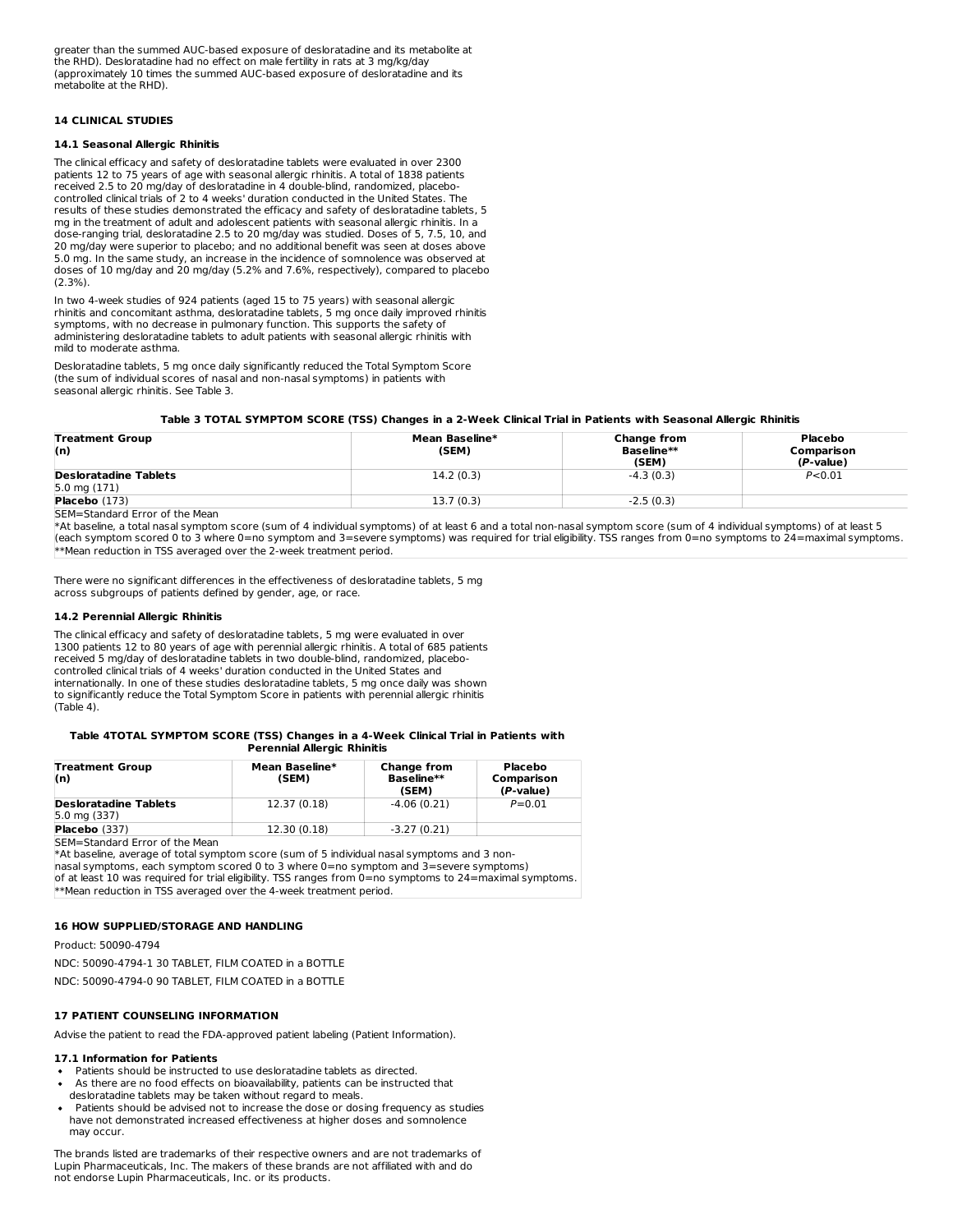greater than the summed AUC-based exposure of desloratadine and its metabolite at the RHD). Desloratadine had no effect on male fertility in rats at 3 mg/kg/day (approximately 10 times the summed AUC-based exposure of desloratadine and its metabolite at the RHD).

# **14 CLINICAL STUDIES**

# **14.1 Seasonal Allergic Rhinitis**

The clinical efficacy and safety of desloratadine tablets were evaluated in over 2300 patients 12 to 75 years of age with seasonal allergic rhinitis. A total of 1838 patients received 2.5 to 20 mg/day of desloratadine in 4 double-blind, randomized, placebocontrolled clinical trials of 2 to 4 weeks' duration conducted in the United States. The results of these studies demonstrated the efficacy and safety of desloratadine tablets, 5 mg in the treatment of adult and adolescent patients with seasonal allergic rhinitis. In a dose-ranging trial, desloratadine 2.5 to 20 mg/day was studied. Doses of 5, 7.5, 10, and 20 mg/day were superior to placebo; and no additional benefit was seen at doses above 5.0 mg. In the same study, an increase in the incidence of somnolence was observed at doses of 10 mg/day and 20 mg/day (5.2% and 7.6%, respectively), compared to placebo (2.3%).

In two 4-week studies of 924 patients (aged 15 to 75 years) with seasonal allergic rhinitis and concomitant asthma, desloratadine tablets, 5 mg once daily improved rhinitis symptoms, with no decrease in pulmonary function. This supports the safety of administering desloratadine tablets to adult patients with seasonal allergic rhinitis with mild to moderate asthma.

Desloratadine tablets, 5 mg once daily significantly reduced the Total Symptom Score (the sum of individual scores of nasal and non-nasal symptoms) in patients with seasonal allergic rhinitis. See Table 3.

#### Table 3 TOTAL SYMPTOM SCORE (TSS) Changes in a 2-Week Clinical Trial in Patients with Seasonal Allergic Rhinitis

|           | <b>Baseline**</b><br>(SEM) | Comparison<br>$(P-value)$ |
|-----------|----------------------------|---------------------------|
| 14.2(0.3) | $-4.3(0.3)$                | P < 0.01                  |
| 13.7(0.3) | $-2.5(0.3)$                |                           |
|           |                            |                           |

M=Standard Error of the Mean

\*At baseline, a total nasal symptom score (sum of 4 individual symptoms) of at least 6 and a total non-nasal symptom score (sum of 4 individual symptoms) of at least 5 (each symptom scored 0 to 3 where 0=no symptom and 3=severe symptoms) was required for trial eligibility. TSS ranges from 0=no symptoms to 24=maximal symptoms. \*\*Mean reduction in TSS averaged over the 2-week treatment period.

There were no significant differences in the effectiveness of desloratadine tablets, 5 mg across subgroups of patients defined by gender, age, or race.

## **14.2 Perennial Allergic Rhinitis**

The clinical efficacy and safety of desloratadine tablets, 5 mg were evaluated in over 1300 patients 12 to 80 years of age with perennial allergic rhinitis. A total of 685 patients received 5 mg/day of desloratadine tablets in two double-blind, randomized, placebocontrolled clinical trials of 4 weeks' duration conducted in the United States and internationally. In one of these studies desloratadine tablets, 5 mg once daily was shown to significantly reduce the Total Symptom Score in patients with perennial allergic rhinitis  $(Tab \neq 4)$ .

#### **Table 4TOTAL SYMPTOM SCORE (TSS) Changes in a 4-Week Clinical Trial in Patients with Perennial Allergic Rhinitis**

| <b>Treatment Group</b><br>(n)                                                                                                                                                                                                         | Mean Baseline*<br>(SEM) | <b>Change from</b><br>Baseline**<br>(SEM) | Placebo<br>Comparison<br>(P-value) |
|---------------------------------------------------------------------------------------------------------------------------------------------------------------------------------------------------------------------------------------|-------------------------|-------------------------------------------|------------------------------------|
| <b>Desloratadine Tablets</b><br>$5.0$ mg $(337)$                                                                                                                                                                                      | 12.37 (0.18)            | $-4.06(0.21)$                             | $P = 0.01$                         |
| Placebo (337)                                                                                                                                                                                                                         | 12.30 (0.18)            | $-3.27(0.21)$                             |                                    |
| <b>ISEM=Standard Error of the Mean</b><br>*At baseline, average of total symptom score (sum of 5 individual nasal symptoms and 3 non-<br>$hasal$ symptoms, each symptom scored 0 to 3 where $0=$ no symptom and $3=$ severe symptoms) |                         |                                           |                                    |

nasal symptoms, each symptom scored 0 to 3 where 0=no symptom and 3=severe symptoms) of at least 10 was required for trial eligibility. TSS ranges from 0=no symptoms to 24=maximal symptoms. \*\*Mean reduction in TSS averaged over the 4-week treatment period.

#### **16 HOW SUPPLIED/STORAGE AND HANDLING**

Product: 50090-4794

NDC: 50090-4794-1 30 TABLET, FILM COATED in a BOTTLE

NDC: 50090-4794-0 90 TABLET, FILM COATED in a BOTTLE

# **17 PATIENT COUNSELING INFORMATION**

Advise the patient to read the FDA-approved patient labeling (Patient Information).

#### **17.1 Information for Patients**

- Patients should be instructed to use desloratadine tablets as directed.
- As there are no food effects on bioavailability, patients can be instructed that desloratadine tablets may be taken without regard to meals.
- Patients should be advised not to increase the dose or dosing frequency as studies have not demonstrated increased effectiveness at higher doses and somnolence may occur.

The brands listed are trademarks of their respective owners and are not trademarks of Lupin Pharmaceuticals, Inc. The makers of these brands are not affiliated with and do not endorse Lupin Pharmaceuticals, Inc. or its products.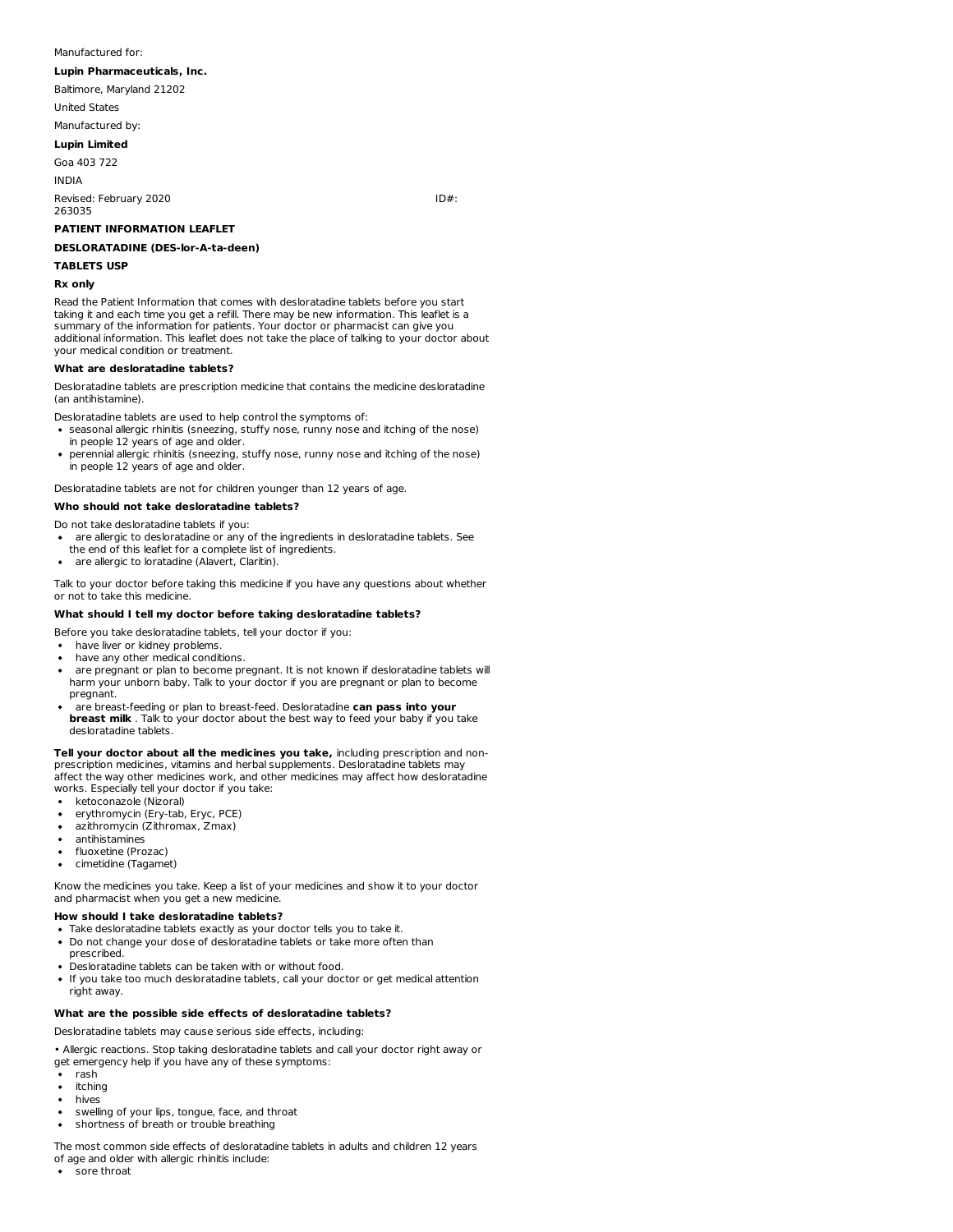# Manufactured for:

# **Lupin Pharmaceuticals, Inc.**

Baltimore, Maryland 21202

United States

# Manufactured by:

**Lupin Limited**

Goa 403 722 INDIA

Revised: February 2020 **ID**#:

263035

# **PATIENT INFORMATION LEAFLET**

# **DESLORATADINE (DES-lor-A-ta-deen)**

#### **TABLETS USP**

# **Rx only**

Read the Patient Information that comes with desloratadine tablets before you start taking it and each time you get a refill. There may be new information. This leaflet is a summary of the information for patients. Your doctor or pharmacist can give you additional information. This leaflet does not take the place of talking to your doctor about your medical condition or treatment.

#### **What are desloratadine tablets?**

Desloratadine tablets are prescription medicine that contains the medicine desloratadine (an antihistamine).

Desloratadine tablets are used to help control the symptoms of:

- seasonal allergic rhinitis (sneezing, stuffy nose, runny nose and itching of the nose) in people 12 years of age and older.
- perennial allergic rhinitis (sneezing, stuffy nose, runny nose and itching of the nose)  $\bullet$ in people 12 years of age and older.

Desloratadine tablets are not for children younger than 12 years of age.

# **Who should not take desloratadine tablets?**

Do not take desloratadine tablets if you:

- are allergic to desloratadine or any of the ingredients in desloratadine tablets. See
- the end of this leaflet for a complete list of ingredients.
- are allergic to loratadine (Alavert, Claritin).

Talk to your doctor before taking this medicine if you have any questions about whether or not to take this medicine.

# **What should I tell my doctor before taking desloratadine tablets?**

- Before you take desloratadine tablets, tell your doctor if you:
- have liver or kidney problems.
- have any other medical conditions.
- are pregnant or plan to become pregnant. It is not known if desloratadine tablets will harm your unborn baby. Talk to your doctor if you are pregnant or plan to become pregnant.
- are breast-feeding or plan to breast-feed. Desloratadine **can pass into your breast milk** . Talk to your doctor about the best way to feed your baby if you take desloratadine tablets.

**Tell your doctor about all the medicines you take,** including prescription and nonprescription medicines, vitamins and herbal supplements. Desloratadine tablets may affect the way other medicines work, and other medicines may affect how desloratadine works. Especially tell your doctor if you take:

- ketoconazole (Nizoral)
- erythromycin (Ery-tab, Eryc, PCE)
- azithromycin (Zithromax, Zmax)  $\bullet$
- antihistamines
- fluoxetine (Prozac)  $\bullet$
- cimetidine (Tagamet)  $\bullet$

Know the medicines you take. Keep a list of your medicines and show it to your doctor and pharmacist when you get a new medicine.

# **How should I take desloratadine tablets?**

- Take desloratadine tablets exactly as your doctor tells you to take it.
- Do not change your dose of desloratadine tablets or take more often than prescribed.
- Desloratadine tablets can be taken with or without food.
- If you take too much desloratadine tablets, call your doctor or get medical attention right away.

#### **What are the possible side effects of desloratadine tablets?**

Desloratadine tablets may cause serious side effects, including:

• Allergic reactions. Stop taking desloratadine tablets and call your doctor right away or

- get emergency help if you have any of these symptoms:
- rash  $\bullet$
- $\bullet$ itching  $\bullet$
- hives
- swelling of your lips, tongue, face, and throat  $\bullet$ shortness of breath or trouble breathing

The most common side effects of desloratadine tablets in adults and children 12 years of age and older with allergic rhinitis include:

• sore throat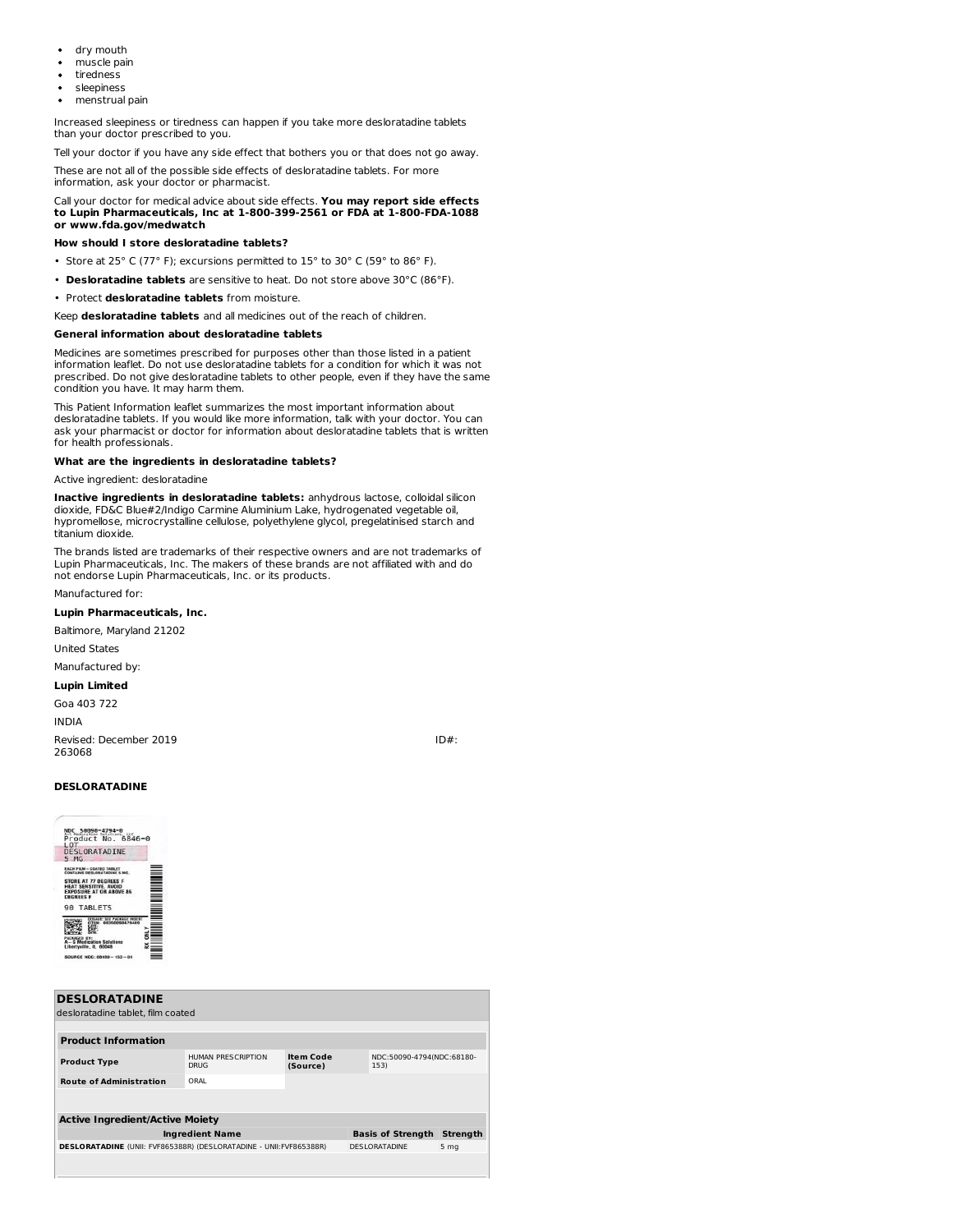- dry mouth  $\bullet$
- muscle pain
- tiredness
- sleepiness
- menstrual pain

Increased sleepiness or tiredness can happen if you take more desloratadine tablets than your doctor prescribed to you.

Tell your doctor if you have any side effect that bothers you or that does not go away.

These are not all of the possible side effects of desloratadine tablets. For more information, ask your doctor or pharmacist.

#### Call your doctor for medical advice about side effects. **You may report side effects to Lupin Pharmaceuticals, Inc at 1-800-399-2561 or FDA at 1-800-FDA-1088 or www.fda.gov/medwatch**

# **How should I store desloratadine tablets?**

- Store at 25° C (77° F); excursions permitted to 15° to 30° C (59° to 86° F).
- **Desloratadine tablets** are sensitive to heat. Do not store above 30°C (86°F).
- Protect **desloratadine tablets** from moisture.

Keep **desloratadine tablets** and all medicines out of the reach of children.

#### **General information about desloratadine tablets**

Medicines are sometimes prescribed for purposes other than those listed in a patient information leaflet. Do not use desloratadine tablets for a condition for which it was not prescribed. Do not give desloratadine tablets to other people, even if they have the same condition you have. It may harm them.

This Patient Information leaflet summarizes the most important information about desloratadine tablets. If you would like more information, talk with your doctor. You can ask your pharmacist or doctor for information about desloratadine tablets that is written for health professionals.

# **What are the ingredients in desloratadine tablets?**

#### Active ingredient: desloratadine

**Inactive ingredients in desloratadine tablets:** anhydrous lactose, colloidal silicon dioxide, FD&C Blue#2/Indigo Carmine Aluminium Lake, hydrogenated vegetable oil, hypromellose, microcrystalline cellulose, polyethylene glycol, pregelatinised starch and titanium dioxide.

The brands listed are trademarks of their respective owners and are not trademarks of Lupin Pharmaceuticals, Inc. The makers of these brands are not affiliated with and do not endorse Lupin Pharmaceuticals, Inc. or its products.

Manufactured for:

#### **Lupin Pharmaceuticals, Inc.**

Baltimore, Maryland 21202

United States

#### Manufactured by:

# **Lupin Limited**

Goa 403 722

INDIA

Revised: December 2019 **ID**#: 263068

#### **DESLORATADINE**



| <b>DESLORATADINE</b>                                                |                                   |                              |                                   |                 |
|---------------------------------------------------------------------|-----------------------------------|------------------------------|-----------------------------------|-----------------|
| desloratadine tablet. film coated                                   |                                   |                              |                                   |                 |
|                                                                     |                                   |                              |                                   |                 |
| <b>Product Information</b>                                          |                                   |                              |                                   |                 |
| <b>Product Type</b>                                                 | HUMAN PRESCRIPTION<br><b>DRUG</b> | <b>Item Code</b><br>(Source) | NDC:50090-4794(NDC:68180-<br>153) |                 |
| <b>Route of Administration</b>                                      | ORAL                              |                              |                                   |                 |
|                                                                     |                                   |                              |                                   |                 |
| <b>Active Ingredient/Active Moiety</b>                              |                                   |                              |                                   |                 |
| <b>Ingredient Name</b>                                              |                                   |                              | <b>Basis of Strength</b>          | <b>Strength</b> |
| DESLORATADINE (UNII: FVF865388R) (DESLORATADINE - UNII: FVF865388R) |                                   |                              | <b>DESLORATADINE</b>              | 5 <sub>mg</sub> |
|                                                                     |                                   |                              |                                   |                 |
|                                                                     |                                   |                              |                                   |                 |